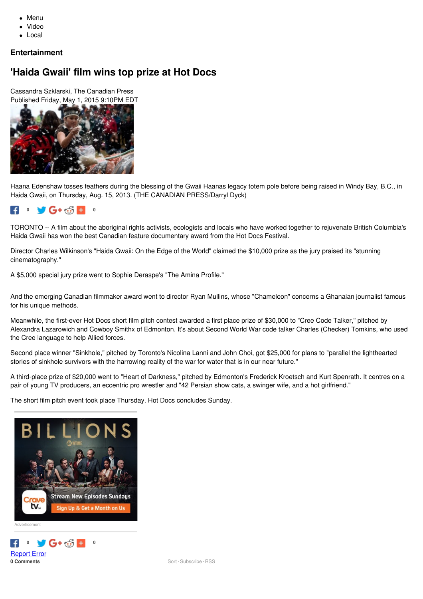- Menu
- Video
- Local

### **Entertainment**

### **'Haida Gwaii' film wins top prize at Hot Docs**

Cassandra Szklarski, The Canadian Press Published Friday, May 1, 2015 9:10PM EDT



Haana Edenshaw tosses feathers during the blessing of the Gwaii Haanas legacy totem pole before being raised in Windy Bay, B.C., in Haida Gwaii, on Thursday, Aug. 15, 2013. (THE CANADIAN PRESS/Darryl Dyck)

#### $0 \quad \bullet \quad G + c \cdot S = 0$  $\epsilon$

TORONTO -- A film about the aboriginal rights activists, ecologists and locals who have worked together to rejuvenate British Columbia's Haida Gwaii has won the best Canadian feature documentary award from the Hot Docs Festival.

Director Charles Wilkinson's "Haida Gwaii: On the Edge of the World" claimed the \$10,000 prize as the jury praised its "stunning cinematography."

A \$5,000 special jury prize went to Sophie Deraspe's "The Amina Profile."

And the emerging Canadian filmmaker award went to director Ryan Mullins, whose "Chameleon" concerns a Ghanaian journalist famous for his unique methods.

Meanwhile, the first-ever Hot Docs short film pitch contest awarded a first place prize of \$30,000 to "Cree Code Talker," pitched by Alexandra Lazarowich and Cowboy Smithx of Edmonton. It's about Second World War code talker Charles (Checker) Tomkins, who used the Cree language to help Allied forces.

Second place winner "Sinkhole," pitched by Toronto's Nicolina Lanni and John Choi, got \$25,000 for plans to "parallel the lighthearted stories of sinkhole survivors with the harrowing reality of the war for water that is in our near future."

A third-place prize of \$20,000 went to "Heart of Darkness," pitched by Edmonton's Frederick Kroetsch and Kurt Spenrath. It centres on a pair of young TV producers, an eccentric pro wrestler and "42 Persian show cats, a swinger wife, and a hot girlfriend."

The short film pitch event took place Thursday. Hot Docs concludes Sunday.



**0 Comments** Sort - Subscribe - [RSS](http://comments.us1.gigya.com/comments/rss/6462011/Pre-Moderated/1.2355245) [Report](https://www.ctvnews.ca/mobile/report-error-1.1162498?url=https%253A%252F%252Fwww.ctvnews.ca%252Fmobile%252Fentertainment%252Fhaida-gwaii-film-wins-top-prize-at-hot-docs-1.2355245) Error  $\bullet$  **6**  $+$   $\circ$   $\circ$   $\bullet$   $\bullet$   $\circ$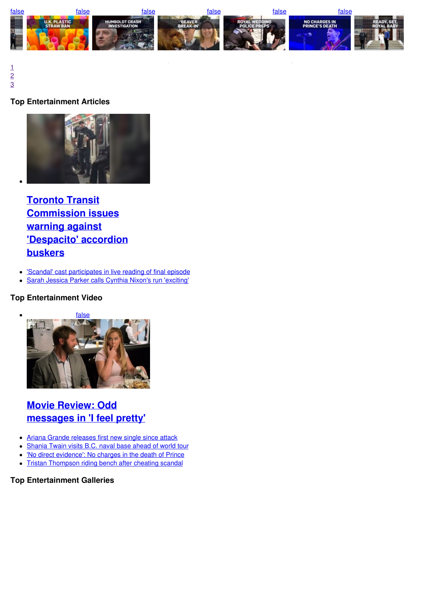

[1](https://www.ctvnews.ca/mobile/entertainment/haida-gwaii-film-wins-top-prize-at-hot-docs-1.2355245) [2](https://www.ctvnews.ca/mobile/entertainment/haida-gwaii-film-wins-top-prize-at-hot-docs-1.2355245) [3](https://www.ctvnews.ca/mobile/entertainment/haida-gwaii-film-wins-top-prize-at-hot-docs-1.2355245)  $\frac{2}{3}$ 

### **Top [Entertainment](https://www.ctvnews.ca/mobile/video?playlistId=1.3894667) Articles**



**Toronto Transit [Commission](https://www.ctvnews.ca/mobile/entertainment/toronto-transit-commission-issues-warning-against-despacito-accordion-buskers-1.3894670) issues warning against 'Despacito' accordion buskers**

- 'Scandal' cast [participates](https://www.ctvnews.ca/mobile/entertainment/scandal-cast-participates-in-live-reading-of-final-episode-1.3894822) in live reading of final episode  $\bullet$
- Sarah Jessica Parker calls Cynthia Nixon's run ['exciting'](https://www.ctvnews.ca/mobile/entertainment/sarah-jessica-parker-calls-cynthia-nixon-s-run-exciting-1.3894567)

#### **Top Entertainment Video**



# **Movie Review: Odd [messages](https://www.ctvnews.ca/mobile/video?playlistId=1.2978615) in 'I feel pretty'**

- Ariana Grande [releases](https://www.ctvnews.ca/mobile/video?playlistId=1.3894585) first new single since attack
- [Shania](https://www.ctvnews.ca/mobile/video?playlistId=1.3894133) Twain visits B.C. naval base ahead of world tour  $\bullet$
- 'No direct [evidence':](https://www.ctvnews.ca/mobile/video?playlistId=1.3891952) No charges in the death of Prince  $\bullet$
- $\bullet$ Tristan [Thompson](https://www.ctvnews.ca/mobile/video?playlistId=1.3891999) riding bench after cheating scandal

#### **Top Entertainment Galleries**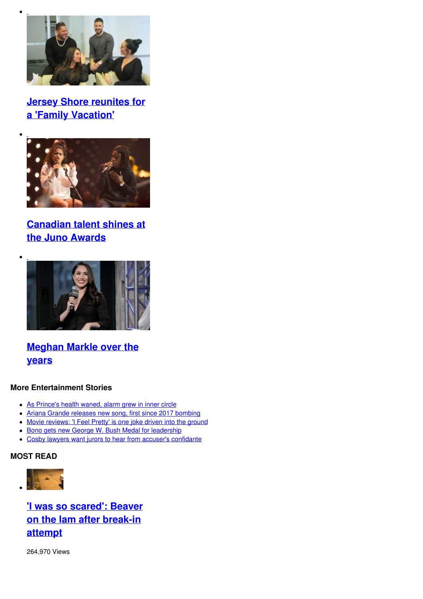

# **Jersey Shore reunites for a 'Family [Vacation'](https://www.ctvnews.ca/mobile/entertainment/jersey-shore-reunites-for-a-family-vacation-1.3861356)**



### **[Canadian](https://www.ctvnews.ca/mobile/entertainment/canadian-talent-shines-at-the-juno-awards-1.3858187) talent shines at the Juno Awards**



### **[Meghan](https://www.ctvnews.ca/mobile/photo-galleries/meghan-markle-over-the-years-1.3840774) Markle over the years**

#### **More Entertainment Stories**

- As [Prince's](https://www.ctvnews.ca/mobile/entertainment/as-prince-s-health-waned-alarm-grew-in-inner-circle-1.3894418) health waned, alarm grew in inner circle
- Ariana Grande releases new song, first since 2017 [bombing](https://www.ctvnews.ca/mobile/entertainment/ariana-grande-releases-new-song-first-since-2017-bombing-1.3894333)
- Movie [reviews:](https://www.ctvnews.ca/mobile/entertainment/movie-reviews-i-feel-pretty-is-one-joke-driven-into-the-ground-1.3891923) 'I Feel Pretty' is one joke driven into the ground
- **Bono gets new George W. Bush Medal for [leadership](https://www.ctvnews.ca/mobile/entertainment/bono-gets-new-george-w-bush-medal-for-leadership-1.3894428)**
- Cosby lawyers want jurors to hear from accuser's [confidante](https://www.ctvnews.ca/mobile/entertainment/cosby-lawyers-want-jurors-to-hear-from-accuser-s-confidante-1.3894228)

### **MOST READ**



**'I was so scared': Beaver on the lam after [break-in](https://www.ctvnews.ca/mobile/canada/i-was-so-scared-beaver-on-the-lam-after-break-in-attempt-1.3894366) attempt**

264,970 Views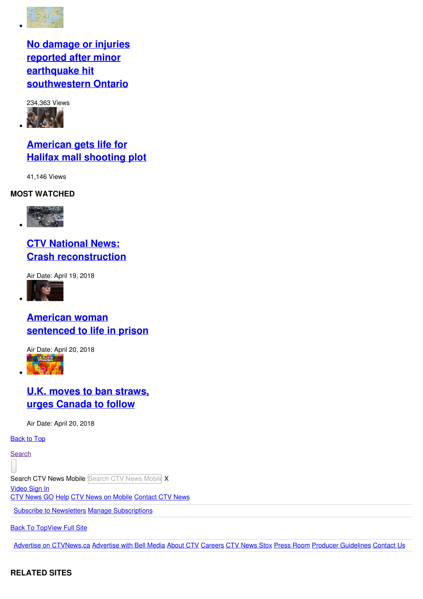

## **No damage or injuries reported after minor earthquake hit [southwestern](https://www.ctvnews.ca/mobile/canada/no-damage-or-injuries-reported-after-minor-earthquake-hit-southwestern-ontario-1.3894080) Ontario**



# **[American](https://www.ctvnews.ca/mobile/canada/american-gets-life-for-halifax-mall-shooting-plot-1.3894249) gets life for Halifax mall shooting plot**

41,146 Views

### **MOST WATCHED**



# **CTV National News: Crash [reconstruction](https://www.ctvnews.ca/mobile/video?clipId=1375594)**

Air Date: April 19, 2018



### **American woman [sentenced](https://www.ctvnews.ca/mobile/video?clipId=1375952) to life in prison**

Air Date: April 20, 2018



### **U.K. moves to ban straws, urges [Canada](https://www.ctvnews.ca/mobile/video?clipId=1375892) to follow**

Air Date: April 20, 2018

**[Back](https://www.ctvnews.ca/mobile/entertainment/haida-gwaii-film-wins-top-prize-at-hot-docs-1.2355245#top) to Top** 

**[Search](https://www.ctvnews.ca/mobile/entertainment/haida-gwaii-film-wins-top-prize-at-hot-docs-1.2355245)** 

Search CTV News Mobile Search CTV News Mobile X

[Video](https://www.ctvnews.ca/mobile/entertainment/haida-gwaii-film-wins-top-prize-at-hot-docs-1.2355245#) Sign In

CTV [News](http://www.ctvnews.ca/go) GO [Help](http://www.ctvnews.ca/mobile/faq) CTV News on [Mobile](https://www.ctvnews.ca/mobile/more/ctv-news-mobile) [Contact](https://www.ctvnews.ca/mobile/more/contact-ctv-news) CTV News

Subscribe to [Newsletters](http://www.ctvnews.ca/mobile/newsletters) Manage [Subscriptions](http://www.ctvnews.ca/mobile/newsletters/preferences)

**[Back](https://www.ctvnews.ca/mobile/entertainment/haida-gwaii-film-wins-top-prize-at-hot-docs-1.2355245#top) To Top[View](javascript:void(0);) Full Site** 

Advertise on [CTVNews.ca](http://www.bellmedia.ca/sales/digital/ctv-news-channel/) [Advertise](http://adsales.bellmedia.ca/) with Bell Media [About](http://www.ctv.ca/About/Corporate-Info/About.aspx) CTV [Careers](https://jobs.bce.ca/bell/go/Media/3537600/) CTV [News](http://stox.ctvnews.ca/) Stox Press [Room](http://www.bellmediapr.ca/) Producer [Guidelines](http://www.bellmedia.ca/en/producer_guidelines.html) [Contact](https://www.ctvnews.ca/mobile/more/contact-ctv-news) Us